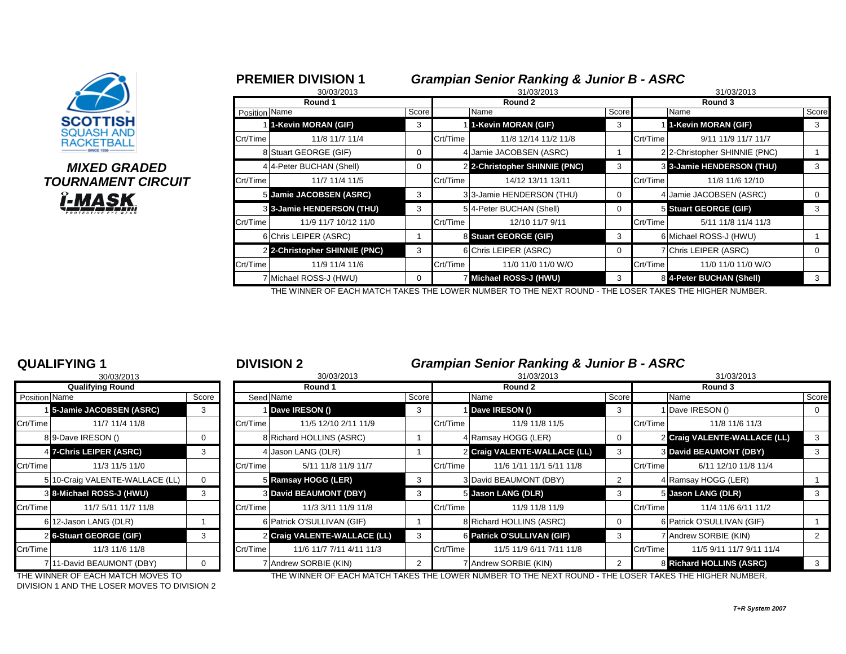| <b>SCOTTISH</b><br><b>SQUASH AND</b><br><b>RACKETBAL</b> |  |
|----------------------------------------------------------|--|

## *MIXED GRADED* **TOURNAMENT CIRCUIT** <u>Î-MASK,</u>

|               | 30/03/2013                    |       |          | <b>Grampian Senior Ranking &amp; Junior B - ASRC</b><br>31/03/2013 |       |          | 31/03/2013                   |          |  |  |  |
|---------------|-------------------------------|-------|----------|--------------------------------------------------------------------|-------|----------|------------------------------|----------|--|--|--|
|               | Round 1                       |       |          | Round 2                                                            |       | Round 3  |                              |          |  |  |  |
| Position Name |                               | Score |          | Name                                                               | Score |          | Name                         | Score    |  |  |  |
|               | 1-Kevin MORAN (GIF)           | 3     |          | 1-Kevin MORAN (GIF)                                                | 3     |          | 1-Kevin MORAN (GIF)          | 3        |  |  |  |
| Crt/Time      | 11/8 11/7 11/4                |       | Crt/Time | 11/8 12/14 11/2 11/8                                               |       | Crt/Time | 9/11 11/9 11/7 11/7          |          |  |  |  |
|               | 8 Stuart GEORGE (GIF)         | 0     |          | 4 Jamie JACOBSEN (ASRC)                                            |       |          | 22-Christopher SHINNIE (PNC) |          |  |  |  |
|               | 4 4-Peter BUCHAN (Shell)      | 0     |          | 2 2-Christopher SHINNIE (PNC)                                      | 3     |          | 3 3-Jamie HENDERSON (THU)    | 3        |  |  |  |
| Crt/Time      | 11/7 11/4 11/5                |       | Crt/Time | 14/12 13/11 13/11                                                  |       | Crt/Time | 11/8 11/6 12/10              |          |  |  |  |
|               | 5 Jamie JACOBSEN (ASRC)       | 3     |          | 3 3-Jamie HENDERSON (THU)                                          | 0     |          | 4 Jamie JACOBSEN (ASRC)      | $\Omega$ |  |  |  |
|               | 3 3-Jamie HENDERSON (THU)     | 3     |          | 514-Peter BUCHAN (Shell)                                           |       |          | 5 Stuart GEORGE (GIF)        | 3        |  |  |  |
| Crt/Time      | 11/9 11/7 10/12 11/0          |       | Crt/Time | 12/10 11/7 9/11                                                    |       | Crt/Time | 5/11 11/8 11/4 11/3          |          |  |  |  |
|               | 6 Chris LEIPER (ASRC)         |       |          | 8 Stuart GEORGE (GIF)                                              | 3     |          | 6 Michael ROSS-J (HWU)       |          |  |  |  |
|               | 2 2-Christopher SHINNIE (PNC) | 3     |          | 6 Chris LEIPER (ASRC)                                              | 0     |          | 7 Chris LEIPER (ASRC)        | $\Omega$ |  |  |  |
| Crt/Time      | 11/9 11/4 11/6                |       | Crt/Time | 11/0 11/0 11/0 W/O                                                 |       | Crt/Time | 11/0 11/0 11/0 W/O           |          |  |  |  |
|               | 7 Michael ROSS-J (HWU)        | 0     |          | 7 Michael ROSS-J (HWU)                                             |       |          | 8 4-Peter BUCHAN (Shell)     | 3        |  |  |  |

THE WINNER OF EACH MATCH TAKES THE LOWER NUMBER TO THE NEXT ROUND - THE LOSER TAKES THE HIGHER NUMBER.

### **QUALIFYING 1** <sup>1</sup> **DIVISION 2** *Grampian Senior Ranking & Junior B - ASRC*

|                         | ~~~~~~~~~~~                     |       |          |                               |       |          | $\bullet$ . The state $\bullet$ is a state of $\bullet$ is a state of $\bullet$ is a state of $\bullet$ |       |                                      |       |  |
|-------------------------|---------------------------------|-------|----------|-------------------------------|-------|----------|---------------------------------------------------------------------------------------------------------|-------|--------------------------------------|-------|--|
|                         | 30/03/2013                      |       |          | 30/03/2013                    |       |          | 31/03/2013                                                                                              |       | 31/03/2013                           |       |  |
| <b>Qualifying Round</b> |                                 |       | Round 1  |                               |       |          | Round 2                                                                                                 |       | Round 3                              |       |  |
| Position Name           |                                 | Score |          | Seed Name                     | Score |          | Name                                                                                                    | Score | Name                                 | Score |  |
|                         | 15-Jamie JACOBSEN (ASRC)        | 3     |          | Dave IRESON ()                | 3     |          | Dave IRESON ()                                                                                          | -3    | 1 Dave IRESON ()                     | 0     |  |
| Crt/Time                | 11/7 11/4 11/8                  |       | Crt/Time | 11/5 12/10 2/11 11/9          |       | Crt/Time | 11/9 11/8 11/5                                                                                          |       | Crt/Time<br>11/8 11/6 11/3           |       |  |
|                         | 89-Dave IRESON ()               |       |          | 8 Richard HOLLINS (ASRC)      |       |          | 4 Ramsay HOGG (LER)                                                                                     | 0     | 2 Craig VALENTE-WALLACE (LL)         |       |  |
|                         | 4 7-Chris LEIPER (ASRC)         |       |          | Jason LANG (DLR)              |       |          | 2 Craig VALENTE-WALLACE (LL)                                                                            |       | <b>3 David BEAUMONT (DBY)</b>        |       |  |
| Crt/Time                | 11/3 11/5 11/0                  |       | Crt/Time | 5/11 11/8 11/9 11/7           |       | Crt/Time | 11/6 1/11 11/1 5/11 11/8                                                                                |       | 6/11 12/10 11/8 11/4<br>Crt/Time     |       |  |
|                         | 5 10-Craig VALENTE-WALLACE (LL) |       |          | 5 Ramsay HOGG (LER)           |       |          | 3 David BEAUMONT (DBY)                                                                                  |       | 4 Ramsay HOGG (LER)                  |       |  |
|                         | 3 8-Michael ROSS-J (HWU)        |       |          | <b>3 David BEAUMONT (DBY)</b> | 3     |          | 5 Jason LANG (DLR)                                                                                      | 3     | 5 Jason LANG (DLR)                   | -3    |  |
| Crt/Time                | 11/7 5/11 11/7 11/8             |       | Crt/Time | 11/3 3/11 11/9 11/8           |       | Crt/Time | 11/9 11/8 11/9                                                                                          |       | Crt/Time<br>11/4 11/6 6/11 11/2      |       |  |
|                         | 6 12-Jason LANG (DLR)           |       |          | 6 Patrick O'SULLIVAN (GIF)    |       |          | 8 Richard HOLLINS (ASRC)                                                                                | 0     | 6 Patrick O'SULLIVAN (GIF)           |       |  |
|                         | 2 6-Stuart GEORGE (GIF)         |       |          | 2 Craig VALENTE-WALLACE (LL)  |       |          | 6 Patrick O'SULLIVAN (GIF)                                                                              | 3     | 7 Andrew SORBIE (KIN)                |       |  |
| Crt/Time                | 11/3 11/6 11/8                  |       | Crt/Time | 11/6 11/7 7/11 4/11 11/3      |       | Crt/Time | 11/5 11/9 6/11 7/11 11/8                                                                                |       | Crt/Time<br>11/5 9/11 11/7 9/11 11/4 |       |  |
|                         | 7 11-David BEAUMONT (DBY)       |       |          | 7 Andrew SORBIE (KIN)         |       |          | 7 Andrew SORBIE (KIN)                                                                                   |       | 8 Richard HOLLINS (ASRC)             |       |  |
|                         |                                 |       |          |                               |       |          |                                                                                                         |       |                                      |       |  |

DIVISION 1 AND THE LOSER MOVES TO DIVISION 2

THE WINNER OF EACH MATCH MOVES TO THE WINNER OF EACH MATCH TAKES THE LOWER NUMBER TO THE NEXT ROUND - THE LOSER TAKES THE HIGHER NUMBER.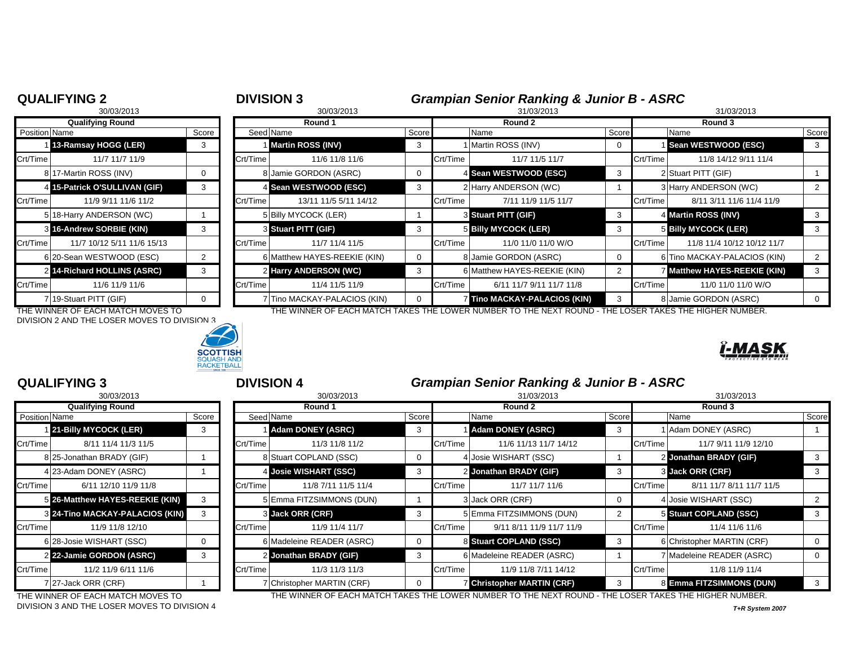|                      | <b>QUALIFYING 2</b>           |       | <b>DIVISION 3</b> |                              |       |            | <b>Grampian Senior Ranking &amp; Junior B - ASRC</b> |       |          |                              |       |  |
|----------------------|-------------------------------|-------|-------------------|------------------------------|-------|------------|------------------------------------------------------|-------|----------|------------------------------|-------|--|
|                      | 30/03/2013                    |       |                   | 30/03/2013                   |       | 31/03/2013 | 31/03/2013                                           |       |          |                              |       |  |
|                      | <b>Qualifying Round</b>       |       | Round 1           |                              |       | Round 2    |                                                      |       | Round 3  |                              |       |  |
| <b>Position Name</b> |                               | Score | Seed Name         |                              | Score |            | Name                                                 | Score |          | Name                         | Score |  |
|                      | 13-Ramsay HOGG (LER)          | 3     |                   | <b>Martin ROSS (INV)</b>     |       |            | Martin ROSS (INV)                                    |       |          | Sean WESTWOOD (ESC)          |       |  |
| Crt/Time             | 11/7 11/7 11/9                |       | Crt/Time          | 11/6 11/8 11/6               |       | Crt/Time   | 11/7 11/5 11/7                                       |       | Crt/Time | 11/8 14/12 9/11 11/4         |       |  |
|                      | 8 17-Martin ROSS (INV)        |       |                   | 8 Jamie GORDON (ASRC)        |       |            | 4 Sean WESTWOOD (ESC)                                |       |          | 2 Stuart PITT (GIF)          |       |  |
|                      | 4 15-Patrick O'SULLIVAN (GIF) | 3     |                   | 4 Sean WESTWOOD (ESC)        |       |            | 2 Harry ANDERSON (WC)                                |       |          | 3 Harry ANDERSON (WC)        |       |  |
| Crt/Time             | 11/9 9/11 11/6 11/2           |       | Crt/Time          | 13/11 11/5 5/11 14/12        |       | Crt/Time   | 7/11 11/9 11/5 11/7                                  |       | Crt/Time | 8/11 3/11 11/6 11/4 11/9     |       |  |
|                      | 5 18-Harry ANDERSON (WC)      |       |                   | 5 Billy MYCOCK (LER)         |       |            | <b>8 Stuart PITT (GIF)</b>                           |       |          | 4 Martin ROSS (INV)          |       |  |
|                      | 8 16-Andrew SORBIE (KIN)      |       |                   | <b>3 Stuart PITT (GIF)</b>   |       |            | <b>5 Billy MYCOCK (LER)</b>                          |       |          | 5 Billy MYCOCK (LER)         |       |  |
| Crt/Time             | 11/7 10/12 5/11 11/6 15/13    |       | Crt/Time          | 11/7 11/4 11/5               |       | Crt/Time   | 11/0 11/0 11/0 W/O                                   |       | Crt/Time | 11/8 11/4 10/12 10/12 11/7   |       |  |
|                      | 6 20-Sean WESTWOOD (ESC)      |       |                   | 6 Matthew HAYES-REEKIE (KIN) |       |            | 8 Jamie GORDON (ASRC)                                |       |          | 6 Tino MACKAY-PALACIOS (KIN) |       |  |
|                      | 2 14-Richard HOLLINS (ASRC)   |       |                   | 2 Harry ANDERSON (WC)        |       |            | 6 Matthew HAYES-REEKIE (KIN)                         |       |          | 7 Matthew HAYES-REEKIE (KIN) |       |  |
| Crt/Time             | 11/6 11/9 11/6                |       | Crt/Time          | 11/4 11/5 11/9               |       | Crt/Time   | 6/11 11/7 9/11 11/7 11/8                             |       | Crt/Time | 11/0 11/0 11/0 W/O           |       |  |
|                      | 7 19-Stuart PITT (GIF)        |       |                   | 7 Tino MACKAY-PALACIOS (KIN) |       |            | 7 Tino MACKAY-PALACIOS (KIN)                         |       |          | 8 Jamie GORDON (ASRC)        |       |  |

DIVISION 2 AND THE LOSER MOVES TO DIVISION 3



THE WINNER OF EACH MATCH MOVES TO THE WINNER OF EACH MATCH TAKES THE LOWER NUMBER TO THE NEXT ROUND - THE LOSER TAKES THE HIGHER NUMBER.

|               | <b>QUALIFYING 3</b>                    |       |          | <b>DIVISION 4</b>          |       |          | <b>Grampian Senior Ranking &amp; Junior B - ASRC</b> |            |          |                            |       |
|---------------|----------------------------------------|-------|----------|----------------------------|-------|----------|------------------------------------------------------|------------|----------|----------------------------|-------|
|               | 30/03/2013                             |       |          | 30/03/2013                 |       |          | 31/03/2013                                           | 31/03/2013 |          |                            |       |
|               | <b>Qualifying Round</b>                |       | Round 1  |                            |       | Round 2  |                                                      |            |          |                            |       |
| Position Name |                                        | Score |          | Seed Name                  | Score |          | Name                                                 | Score      |          | Name                       | Score |
|               | 21-Billy MYCOCK (LER)                  |       |          | <b>Adam DONEY (ASRC)</b>   | 3     |          | <b>Adam DONEY (ASRC)</b>                             |            |          | I Adam DONEY (ASRC)        |       |
| Crt/Time      | 8/11 11/4 11/3 11/5                    |       | Crt/Time | 11/3 11/8 11/2             |       | Crt/Time | 11/6 11/13 11/7 14/12                                |            | Crt/Time | 11/7 9/11 11/9 12/10       |       |
|               | 8 25-Jonathan BRADY (GIF)              |       |          | 8 Stuart COPLAND (SSC)     | 0     |          | 4 Josie WISHART (SSC)                                |            |          | 2 Jonathan BRADY (GIF)     |       |
|               | 4 23-Adam DONEY (ASRC)                 |       |          | 4 Josie WISHART (SSC)      | -3    |          | 2 Jonathan BRADY (GIF)                               |            |          | 3 Jack ORR (CRF)           |       |
| Crt/Time      | 6/11 12/10 11/9 11/8                   |       | Crt/Time | 11/8 7/11 11/5 11/4        |       | Crt/Time | 11/7 11/7 11/6                                       |            | Crt/Time | 8/11 11/7 8/11 11/7 11/5   |       |
|               | 5 26-Matthew HAYES-REEKIE (KIN)        |       |          | 5 Emma FITZSIMMONS (DUN)   |       |          | 3 Jack ORR (CRF)                                     |            |          | 4 Josie WISHART (SSC)      |       |
|               | <b>3 24-Tino MACKAY-PALACIOS (KIN)</b> |       |          | 3 Jack ORR (CRF)           | -3    |          | 5 Emma FITZSIMMONS (DUN)                             |            |          | 5 Stuart COPLAND (SSC)     |       |
| Crt/Time      | 11/9 11/8 12/10                        |       | Crt/Time | 11/9 11/4 11/7             |       | Crt/Time | 9/11 8/11 11/9 11/7 11/9                             |            | Crt/Time | 11/4 11/6 11/6             |       |
|               | 6 28-Josie WISHART (SSC)               |       |          | 6 Madeleine READER (ASRC)  |       |          | 8 Stuart COPLAND (SSC)                               | 3          |          | 6 Christopher MARTIN (CRF) |       |
|               | 2 22-Jamie GORDON (ASRC)               | 3     |          | 2 Jonathan BRADY (GIF)     | 3     |          | 6 Madeleine READER (ASRC)                            |            |          | 7 Madeleine READER (ASRC)  |       |
| Crt/Time      | 11/2 11/9 6/11 11/6                    |       | Crt/Time | 11/3 11/3 11/3             |       | Crt/Time | 11/9 11/8 7/11 14/12                                 |            | Crt/Time | 11/8 11/9 11/4             |       |
|               | 727-Jack ORR (CRF)                     |       |          | 7 Christopher MARTIN (CRF) |       |          | <b>Z</b> Christopher MARTIN (CRF)                    |            |          | 8 Emma FITZSIMMONS (DUN)   |       |

DIVISION 3 AND THE LOSER MOVES TO DIVISION 4 *T+R System 2007*

THE WINNER OF EACH MATCH MOVES TO THE WINNER OF EACH MATCH TAKES THE LOWER NUMBER TO THE NEXT ROUND - THE LOSER TAKES THE HIGHER NUMBER.

ĭ-MASK

|               | טו טב וטעוט                          |       |
|---------------|--------------------------------------|-------|
|               | <b>Qualifying Round</b>              |       |
| Position Name |                                      | Score |
|               | 1 21-Billy MYCOCK (LER)              | 3     |
| Crt/Time      | 8/11 11/4 11/3 11/5                  |       |
|               | 8125-Jonathan BRADY (GIF)            | 1     |
|               | 4 23-Adam DONEY (ASRC)               |       |
| Crt/Time      | 6/11 12/10 11/9 11/8                 |       |
| 51            | 26-Matthew HAYES-REEKIE (KIN)        | 3     |
| $\mathbf{3}$  | <b>24-Tino MACKAY-PALACIOS (KIN)</b> | 3     |
| Crt/Time      | 11/9 11/8 12/10                      |       |
|               | 6 28-Josie WISHART (SSC)             | 0     |
|               | 2 22-Jamie GORDON (ASRC)             | 3     |
| Crt/Time      | 11/2 11/9 6/11 11/6                  |       |
|               | 7 27-Jack ORR (CRF)                  |       |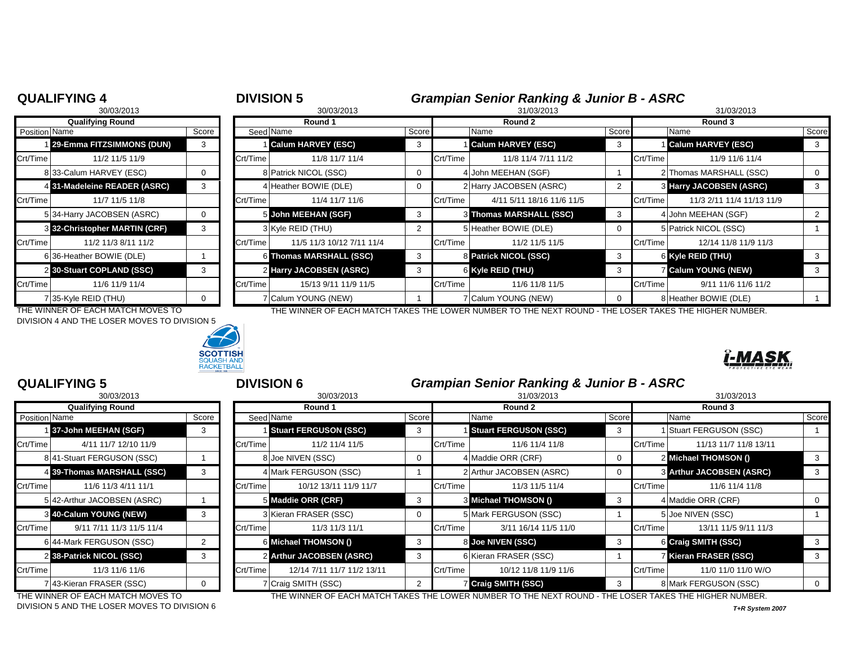|                         | <b>QUALIFYING 4</b><br>30/03/2013 | <b>DIVISION 5</b> | 30/03/2013 |                           | <b>Grampian Senior Ranking &amp; Junior B - ASRC</b><br>31/03/2013<br>31/03/2013 |          |                           |       |          |                                |       |  |
|-------------------------|-----------------------------------|-------------------|------------|---------------------------|----------------------------------------------------------------------------------|----------|---------------------------|-------|----------|--------------------------------|-------|--|
| <b>Qualifying Round</b> |                                   |                   | Round 1    |                           |                                                                                  | Round 2  |                           |       | Round 3  |                                |       |  |
| <b>Position Name</b>    |                                   | Score             | Seed Name  |                           | Score                                                                            |          | Name                      | Score |          | Name                           | Score |  |
|                         | 29-Emma FITZSIMMONS (DUN)         | 3                 |            | <b>Calum HARVEY (ESC)</b> | 3                                                                                |          | <b>Calum HARVEY (ESC)</b> | -3    |          | <b>Calum HARVEY (ESC)</b>      |       |  |
| Crt/Time                | 11/2 11/5 11/9                    |                   | Crt/Time   | 11/8 11/7 11/4            |                                                                                  | Crt/Time | 11/8 11/4 7/11 11/2       |       | Crt/Time | 11/9 11/6 11/4                 |       |  |
|                         | 833-Calum HARVEY (ESC)            |                   |            | 8 Patrick NICOL (SSC)     | 0                                                                                |          | John MEEHAN (SGF)         |       |          | 2 Thomas MARSHALL (SSC)        |       |  |
|                         | 4 31-Madeleine READER (ASRC)      | 3                 |            | 4 Heather BOWIE (DLE)     | 0                                                                                |          | 2 Harry JACOBSEN (ASRC)   |       |          | <b>3 Harry JACOBSEN (ASRC)</b> | -3    |  |
| Crt/Time                | 11/7 11/5 11/8                    |                   | Crt/Time   | 11/4 11/7 11/6            |                                                                                  | Crt/Time | 4/11 5/11 18/16 11/6 11/5 |       | Crt/Time | 11/3 2/11 11/4 11/13 11/9      |       |  |
|                         | 534-Harry JACOBSEN (ASRC)         |                   |            | 5 John MEEHAN (SGF)       | -3                                                                               |          | 3 Thomas MARSHALL (SSC)   | -3    |          | 4 John MEEHAN (SGF)            |       |  |
|                         | 3 32-Christopher MARTIN (CRF)     | 3                 |            | 3 Kyle REID (THU)         | $\overline{2}$                                                                   |          | 5 Heather BOWIE (DLE)     | 0     |          | 5 Patrick NICOL (SSC)          |       |  |
| Crt/Time                | 11/2 11/3 8/11 11/2               |                   | Crt/Time   | 11/5 11/3 10/12 7/11 11/4 |                                                                                  | Crt/Time | 11/2 11/5 11/5            |       | Crt/Time | 12/14 11/8 11/9 11/3           |       |  |
|                         | 636-Heather BOWIE (DLE)           |                   |            | 6 Thomas MARSHALL (SSC)   | 3                                                                                |          | 8 Patrick NICOL (SSC)     | 3     |          | 6 Kyle REID (THU)              |       |  |
|                         | 2 30-Stuart COPLAND (SSC)         |                   |            | 2 Harry JACOBSEN (ASRC)   | 3                                                                                |          | 6 Kyle REID (THU)         | 3     |          | <b>7 Calum YOUNG (NEW)</b>     |       |  |
| Crt/Time                | 11/6 11/9 11/4                    |                   | Crt/Time   | 15/13 9/11 11/9 11/5      |                                                                                  | Crt/Time | 11/6 11/8 11/5            |       | Crt/Time | 9/11 11/6 11/6 11/2            |       |  |
|                         | 7 35-Kyle REID (THU)              |                   |            | 7 Calum YOUNG (NEW)       |                                                                                  |          | 7 Calum YOUNG (NEW)       |       |          | 8 Heather BOWIE (DLE)          |       |  |

THE WINNER OF EACH MATCH MOVES TO THE WINNER OF EACH MATCH TAKES THE LOWER NUMBER TO THE NEXT ROUND - THE LOSER TAKES THE HIGHER NUMBER. DIVISION 4 AND THE LOSER MOVES TO DIVISION 5



|               | 30/03/ZUT3                  |       |
|---------------|-----------------------------|-------|
|               | <b>Qualifying Round</b>     |       |
| Position Name |                             | Score |
|               | 1 37-John MEEHAN (SGF)      | 3     |
| Crt/Time      | 4/11 11/7 12/10 11/9        |       |
|               | 8 41-Stuart FERGUSON (SSC)  | 1     |
|               | 4 39-Thomas MARSHALL (SSC)  | 3     |
| Crt/Time      | 11/6 11/3 4/11 11/1         |       |
|               | 5 42-Arthur JACOBSEN (ASRC) | 1     |
| 3             | 40-Calum YOUNG (NEW)        | 3     |
| Crt/Time      | 9/11 7/11 11/3 11/5 11/4    |       |
|               | 6 44-Mark FERGUSON (SSC)    | 2     |
|               | 2 38-Patrick NICOL (SSC)    | 3     |
| Crt/Time      | 11/3 11/6 11/6              |       |
|               | 7 43-Kieran FRASER (SSC)    | ი     |

# **QUALIFYING 5 DIVISION 6 Grampian Senior Ranking & Junior B - ASRC Grampian Senior Ranking & Junior B - ASRC**

|          | 30/03/2013                  |       |          | 30/03/2013                   |       |          | 31/03/2013                   |       | 31/03/2013                        |          |  |
|----------|-----------------------------|-------|----------|------------------------------|-------|----------|------------------------------|-------|-----------------------------------|----------|--|
|          | <b>Qualifying Round</b>     |       | Round 1  |                              |       |          | Round 2                      |       | Round 3                           |          |  |
|          | Position Name               | Score |          | Seed Name                    | Score |          | Name                         | Score | Name                              | Score    |  |
|          | 137-John MEEHAN (SGF)       |       |          | <b>Stuart FERGUSON (SSC)</b> |       |          | <b>Stuart FERGUSON (SSC)</b> | 3     | I Stuart FERGUSON (SSC)           |          |  |
| Crt/Time | 4/11 11/7 12/10 11/9        |       | Crt/Time | 11/2 11/4 11/5               |       | Crt/Time | 11/6 11/4 11/8               |       | Crt/Time<br>11/13 11/7 11/8 13/11 |          |  |
|          | 841-Stuart FERGUSON (SSC)   |       |          | 8 Joe NIVEN (SSC)            |       |          | 4 Maddie ORR (CRF)           | 0     | 2 Michael THOMSON ()              |          |  |
|          | 4 39-Thomas MARSHALL (SSC)  |       |          | 4 Mark FERGUSON (SSC)        |       |          | 2 Arthur JACOBSEN (ASRC)     | 0     | <b>8 Arthur JACOBSEN (ASRC)</b>   | 3        |  |
| Crt/Time | 11/6 11/3 4/11 11/1         |       | Crt/Time | 10/12 13/11 11/9 11/7        |       | Crt/Time | 11/3 11/5 11/4               |       | Crt/Time<br>11/6 11/4 11/8        |          |  |
|          | 5 42-Arthur JACOBSEN (ASRC) |       |          | 5 Maddie ORR (CRF)           |       |          | 3 Michael THOMSON ()         | -3    | 4 Maddie ORR (CRF)                | 0        |  |
|          | 3 40-Calum YOUNG (NEW)      | 3     |          | 3 Kieran FRASER (SSC)        |       |          | 5 Mark FERGUSON (SSC)        |       | 5 Joe NIVEN (SSC)                 |          |  |
| Crt/Time | 9/11 7/11 11/3 11/5 11/4    |       | Crt/Time | 11/3 11/3 11/1               |       | Crt/Time | 3/11 16/14 11/5 11/0         |       | 13/11 11/5 9/11 11/3<br>Crt/Time  |          |  |
|          | 6 44-Mark FERGUSON (SSC)    |       |          | 6 Michael THOMSON ()         | 3     |          | 8 Joe NIVEN (SSC)            | -3    | 6 Craig SMITH (SSC)               |          |  |
|          | 2 38-Patrick NICOL (SSC)    | 3     |          | 2 Arthur JACOBSEN (ASRC)     |       |          | 6 Kieran FRASER (SSC)        |       | 7 Kieran FRASER (SSC)             | 3        |  |
| Crt/Time | 11/3 11/6 11/6              |       | Crt/Time | 12/14 7/11 11/7 11/2 13/11   |       | Crt/Time | 10/12 11/8 11/9 11/6         |       | Crt/Time<br>11/0 11/0 11/0 W/O    |          |  |
|          | 7 43-Kieran FRASER (SSC)    |       |          | 7 Craig SMITH (SSC)          |       |          | <b>Z</b> Craig SMITH (SSC)   |       | 8 Mark FERGUSON (SSC)             | $\Omega$ |  |

DIVISION 5 AND THE LOSER MOVES TO DIVISION 6 *T+R System 2007*

THE WINNER OF EACH MATCH MOVES TO THE WINNER OF EACH MATCH TAKES THE LOWER NUMBER TO THE NEXT ROUND - THE LOSER TAKES THE HIGHER NUMBER.